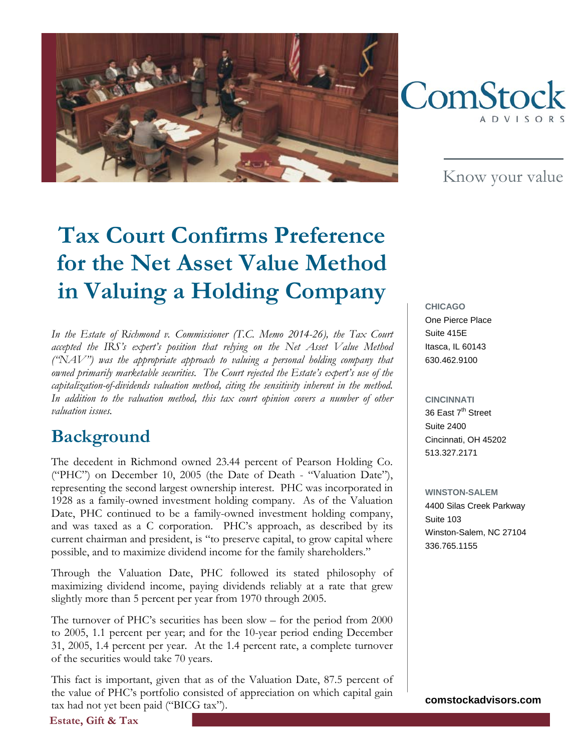



Know your value

# **Tax Court Confirms Preference for the Net Asset Value Method in Valuing a Holding Company**

*In the Estate of Richmond v. Commissioner (T.C. Memo 2014-26), the Tax Court accepted the IRS's expert's position that relying on the Net Asset Value Method ("NAV") was the appropriate approach to valuing a personal holding company that owned primarily marketable securities. The Court rejected the Estate's expert's use of the capitalization-of-dividends valuation method, citing the sensitivity inherent in the method. In addition to the valuation method, this tax court opinion covers a number of other valuation issues.* 

#### **Background**

The decedent in Richmond owned 23.44 percent of Pearson Holding Co. ("PHC") on December 10, 2005 (the Date of Death - "Valuation Date"), representing the second largest ownership interest. PHC was incorporated in 1928 as a family-owned investment holding company. As of the Valuation Date, PHC continued to be a family-owned investment holding company, and was taxed as a C corporation. PHC's approach, as described by its current chairman and president, is "to preserve capital, to grow capital where possible, and to maximize dividend income for the family shareholders."

Through the Valuation Date, PHC followed its stated philosophy of maximizing dividend income, paying dividends reliably at a rate that grew slightly more than 5 percent per year from 1970 through 2005.

The turnover of PHC's securities has been slow – for the period from 2000 to 2005, 1.1 percent per year; and for the 10-year period ending December 31, 2005, 1.4 percent per year. At the 1.4 percent rate, a complete turnover of the securities would take 70 years.

This fact is important, given that as of the Valuation Date, 87.5 percent of the value of PHC's portfolio consisted of appreciation on which capital gain tax had not yet been paid ("BICG tax").

**CHICAGO** One Pierce Place Suite 415E Itasca, IL 60143 630.462.9100

**CINCINNATI** 36 East 7<sup>th</sup> Street Suite 2400 Cincinnati, OH 45202 513.327.2171

**WINSTON-SALEM** 4400 Silas Creek Parkway Suite 103 Winston-Salem, NC 27104 336.765.1155

**comstockadvisors.com**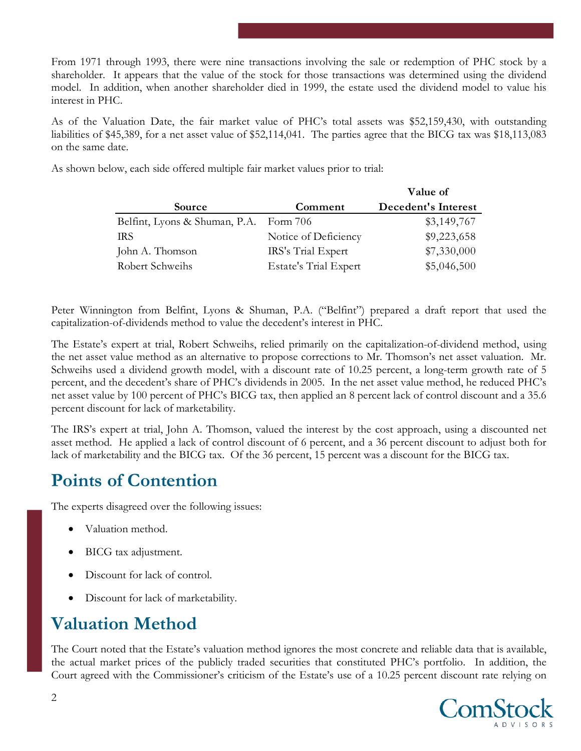From 1971 through 1993, there were nine transactions involving the sale or redemption of PHC stock by a shareholder. It appears that the value of the stock for those transactions was determined using the dividend model. In addition, when another shareholder died in 1999, the estate used the dividend model to value his interest in PHC.

As of the Valuation Date, the fair market value of PHC's total assets was \$52,159,430, with outstanding liabilities of \$45,389, for a net asset value of \$52,114,041. The parties agree that the BICG tax was \$18,113,083 on the same date.

As shown below, each side offered multiple fair market values prior to trial:

|                               |                              | Value of            |
|-------------------------------|------------------------------|---------------------|
| Source                        | Comment                      | Decedent's Interest |
| Belfint, Lyons & Shuman, P.A. | Form $706$                   | \$3,149,767         |
| <b>IRS</b>                    | Notice of Deficiency         | \$9,223,658         |
| John A. Thomson               | IRS's Trial Expert           | \$7,330,000         |
| Robert Schweihs               | <b>Estate's Trial Expert</b> | \$5,046,500         |

Peter Winnington from Belfint, Lyons & Shuman, P.A. ("Belfint") prepared a draft report that used the capitalization-of-dividends method to value the decedent's interest in PHC.

The Estate's expert at trial, Robert Schweihs, relied primarily on the capitalization-of-dividend method, using the net asset value method as an alternative to propose corrections to Mr. Thomson's net asset valuation. Mr. Schweihs used a dividend growth model, with a discount rate of 10.25 percent, a long-term growth rate of 5 percent, and the decedent's share of PHC's dividends in 2005. In the net asset value method, he reduced PHC's net asset value by 100 percent of PHC's BICG tax, then applied an 8 percent lack of control discount and a 35.6 percent discount for lack of marketability.

The IRS's expert at trial, John A. Thomson, valued the interest by the cost approach, using a discounted net asset method. He applied a lack of control discount of 6 percent, and a 36 percent discount to adjust both for lack of marketability and the BICG tax. Of the 36 percent, 15 percent was a discount for the BICG tax.

#### **Points of Contention**

The experts disagreed over the following issues:

- Valuation method.
- BICG tax adjustment.
- Discount for lack of control.
- Discount for lack of marketability.

# **Valuation Method**

The Court noted that the Estate's valuation method ignores the most concrete and reliable data that is available, the actual market prices of the publicly traded securities that constituted PHC's portfolio. In addition, the Court agreed with the Commissioner's criticism of the Estate's use of a 10.25 percent discount rate relying on

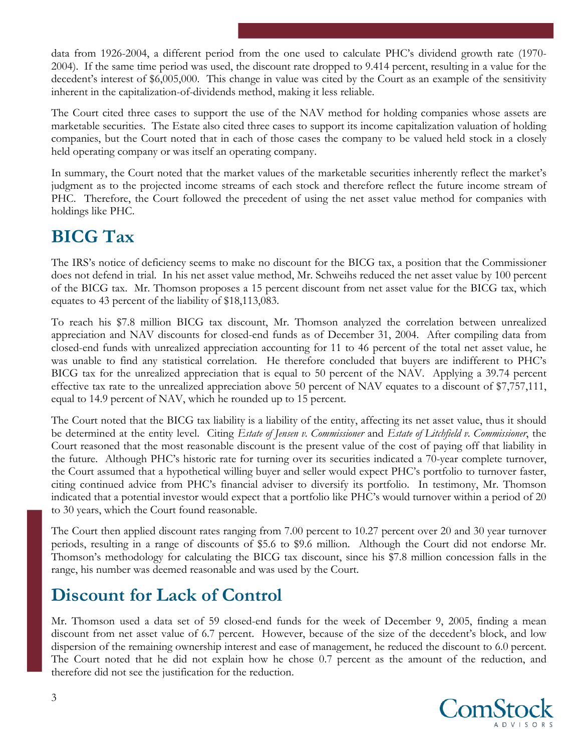data from 1926-2004, a different period from the one used to calculate PHC's dividend growth rate (1970- 2004). If the same time period was used, the discount rate dropped to 9.414 percent, resulting in a value for the decedent's interest of \$6,005,000. This change in value was cited by the Court as an example of the sensitivity inherent in the capitalization-of-dividends method, making it less reliable.

The Court cited three cases to support the use of the NAV method for holding companies whose assets are marketable securities. The Estate also cited three cases to support its income capitalization valuation of holding companies, but the Court noted that in each of those cases the company to be valued held stock in a closely held operating company or was itself an operating company.

In summary, the Court noted that the market values of the marketable securities inherently reflect the market's judgment as to the projected income streams of each stock and therefore reflect the future income stream of PHC. Therefore, the Court followed the precedent of using the net asset value method for companies with holdings like PHC.

### **BICG Tax**

The IRS's notice of deficiency seems to make no discount for the BICG tax, a position that the Commissioner does not defend in trial. In his net asset value method, Mr. Schweihs reduced the net asset value by 100 percent of the BICG tax. Mr. Thomson proposes a 15 percent discount from net asset value for the BICG tax, which equates to 43 percent of the liability of \$18,113,083.

To reach his \$7.8 million BICG tax discount, Mr. Thomson analyzed the correlation between unrealized appreciation and NAV discounts for closed-end funds as of December 31, 2004. After compiling data from closed-end funds with unrealized appreciation accounting for 11 to 46 percent of the total net asset value, he was unable to find any statistical correlation. He therefore concluded that buyers are indifferent to PHC's BICG tax for the unrealized appreciation that is equal to 50 percent of the NAV. Applying a 39.74 percent effective tax rate to the unrealized appreciation above 50 percent of NAV equates to a discount of \$7,757,111, equal to 14.9 percent of NAV, which he rounded up to 15 percent.

The Court noted that the BICG tax liability is a liability of the entity, affecting its net asset value, thus it should be determined at the entity level. Citing *Estate of Jensen v. Commissioner* and *Estate of Litchfield v. Commissioner*, the Court reasoned that the most reasonable discount is the present value of the cost of paying off that liability in the future. Although PHC's historic rate for turning over its securities indicated a 70-year complete turnover, the Court assumed that a hypothetical willing buyer and seller would expect PHC's portfolio to turnover faster, citing continued advice from PHC's financial adviser to diversify its portfolio. In testimony, Mr. Thomson indicated that a potential investor would expect that a portfolio like PHC's would turnover within a period of 20 to 30 years, which the Court found reasonable.

The Court then applied discount rates ranging from 7.00 percent to 10.27 percent over 20 and 30 year turnover periods, resulting in a range of discounts of \$5.6 to \$9.6 million. Although the Court did not endorse Mr. Thomson's methodology for calculating the BICG tax discount, since his \$7.8 million concession falls in the range, his number was deemed reasonable and was used by the Court.

# **Discount for Lack of Control**

Mr. Thomson used a data set of 59 closed-end funds for the week of December 9, 2005, finding a mean discount from net asset value of 6.7 percent. However, because of the size of the decedent's block, and low dispersion of the remaining ownership interest and ease of management, he reduced the discount to 6.0 percent. The Court noted that he did not explain how he chose 0.7 percent as the amount of the reduction, and therefore did not see the justification for the reduction.

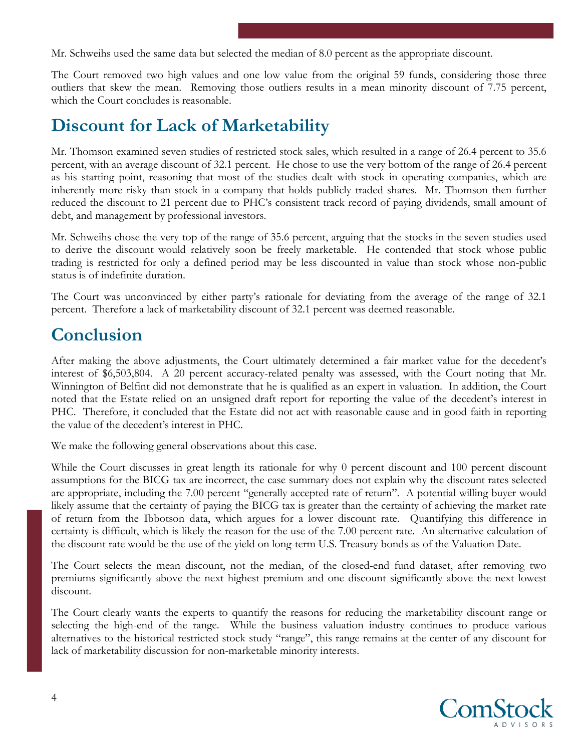Mr. Schweihs used the same data but selected the median of 8.0 percent as the appropriate discount.

The Court removed two high values and one low value from the original 59 funds, considering those three outliers that skew the mean. Removing those outliers results in a mean minority discount of 7.75 percent, which the Court concludes is reasonable.

#### **Discount for Lack of Marketability**

Mr. Thomson examined seven studies of restricted stock sales, which resulted in a range of 26.4 percent to 35.6 percent, with an average discount of 32.1 percent. He chose to use the very bottom of the range of 26.4 percent as his starting point, reasoning that most of the studies dealt with stock in operating companies, which are inherently more risky than stock in a company that holds publicly traded shares. Mr. Thomson then further reduced the discount to 21 percent due to PHC's consistent track record of paying dividends, small amount of debt, and management by professional investors.

Mr. Schweihs chose the very top of the range of 35.6 percent, arguing that the stocks in the seven studies used to derive the discount would relatively soon be freely marketable. He contended that stock whose public trading is restricted for only a defined period may be less discounted in value than stock whose non-public status is of indefinite duration.

The Court was unconvinced by either party's rationale for deviating from the average of the range of 32.1 percent. Therefore a lack of marketability discount of 32.1 percent was deemed reasonable.

#### **Conclusion**

After making the above adjustments, the Court ultimately determined a fair market value for the decedent's interest of \$6,503,804. A 20 percent accuracy-related penalty was assessed, with the Court noting that Mr. Winnington of Belfint did not demonstrate that he is qualified as an expert in valuation. In addition, the Court noted that the Estate relied on an unsigned draft report for reporting the value of the decedent's interest in PHC. Therefore, it concluded that the Estate did not act with reasonable cause and in good faith in reporting the value of the decedent's interest in PHC.

We make the following general observations about this case.

While the Court discusses in great length its rationale for why 0 percent discount and 100 percent discount assumptions for the BICG tax are incorrect, the case summary does not explain why the discount rates selected are appropriate, including the 7.00 percent "generally accepted rate of return". A potential willing buyer would likely assume that the certainty of paying the BICG tax is greater than the certainty of achieving the market rate of return from the Ibbotson data, which argues for a lower discount rate. Quantifying this difference in certainty is difficult, which is likely the reason for the use of the 7.00 percent rate. An alternative calculation of the discount rate would be the use of the yield on long-term U.S. Treasury bonds as of the Valuation Date.

The Court selects the mean discount, not the median, of the closed-end fund dataset, after removing two premiums significantly above the next highest premium and one discount significantly above the next lowest discount.

The Court clearly wants the experts to quantify the reasons for reducing the marketability discount range or selecting the high-end of the range. While the business valuation industry continues to produce various alternatives to the historical restricted stock study "range", this range remains at the center of any discount for lack of marketability discussion for non-marketable minority interests.